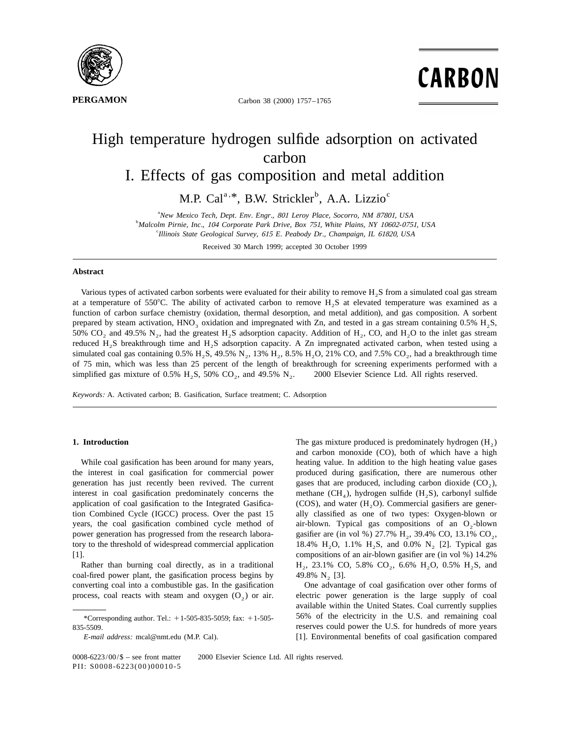

**PERGAMON** Carbon 38 (2000) 1757-1765

**CARBON** 

# High temperature hydrogen sulfide adsorption on activated carbon I. Effects of gas composition and metal addition

M.P. Cal<sup>a, \*</sup>, B.W. Strickler<sup>b</sup>, A.A. Lizzio<sup>c</sup>

a *New Mexico Tech*, *Dept*. *Env*. *Engr*., <sup>801</sup> *Leroy Place*, *Socorro*, *NM* 87801, *USA*

b *Malcolm Pirnie*, *Inc*., <sup>104</sup> *Corporate Park Drive*, *Box* 751, *White Plains*, *NY* <sup>10602</sup>-0751, *USA*

c *Illinois State Geological Survey*, <sup>615</sup> *E*. *Peabody Dr*., *Champaign*, *IL* 61820, *USA*

Received 30 March 1999; accepted 30 October 1999

## **Abstract**

Various types of activated carbon sorbents were evaluated for their ability to remove  $H_2S$  from a simulated coal gas stream at a temperature of  $550^{\circ}$ C. The ability of activated carbon to remove H<sub>2</sub>S at elevated temperature was examined as a function of carbon surface chemistry (oxidation, thermal desorption, and metal addition), and gas composition. A sorbent prepared by steam activation,  $HNO<sub>3</sub>$  oxidation and impregnated with Zn, and tested in a gas stream containing 0.5%  $H<sub>2</sub>S$ , 50% CO, and 49.5% N<sub>2</sub>, had the greatest H<sub>2</sub>S adsorption capacity. Addition of H<sub>2</sub>, CO, and H<sub>2</sub>O to the inlet gas stream reduced H<sub>2</sub>S breakthrough time and H<sub>2</sub>S adsorption capacity. A Zn impregnated activated carbon, when tested using a simulated coal gas containing  $0.5\%$  H<sub>2</sub>S,  $49.5\%$  N<sub>2</sub>,  $13\%$  H<sub>2</sub>,  $8.5\%$  H<sub>2</sub>O,  $21\%$  CO, and  $7.5\%$  CO<sub>2</sub>, had a breakthrough time of 75 min, which was less than 25 percent of the length of breakthrough for screening experiments performed with a simplified gas mixture of 0.5% H<sub>2</sub>S, 50% CO<sub>2</sub>, and 49.5% N<sub>2</sub>.  $\odot$  2000 Elsevier Science Ltd. All rights reserved.

*Keywords*: A. Activated carbon; B. Gasification, Surface treatment; C. Adsorption

the interest in coal gasification for commercial power produced during gasification, there are numerous other generation has just recently been revived. The current gases that are produced, including carbon dioxide  $(CO_2)$ , interest in coal gasification predominately concerns the methane  $(CH_4)$ , hydrogen sulfide  $(H_2S)$ , carbonyl sulfide application of coal gasification to the Integrated Gasifica- (COS), and water  $(H_2O)$ . Commercial gasifie application of coal gasification to the Integrated Gasifica- (COS), and water  $(H_2O)$ . Commercial gasifiers are gener-<br>tion Combined Cycle (IGCC) process. Over the past 15 ally classified as one of two types: Oxygen-blown years, the coal gasification combined cycle method of air-blown. Typical gas compositions of an  $O_2$ -blown power generation has progressed from the research labora-<br>gasifier are (in vol %) 27.7% H<sub>2</sub>, 39.4% CO, 13.1% CO<sub></sub> power generation has progressed from the research labora-<br>tory to the threshold of widespread commercial application<br> $18.4\%$  H<sub>2</sub>O, 1.1% H<sub>2</sub>S, and 0.0% N<sub>2</sub> [2]. Typical gas [1]. compositions of an air-blown gasifier are (in vol %) 14.2%

coal-fired power plant, the gasification process begins by converting coal into a combustible gas. In the gasification One advantage of coal gasification over other forms of process, coal reacts with steam and oxygen  $(O_2)$  or air. electric power generation is the large supply of coal

**1. Introduction** The gas mixture produced is predominately hydrogen (H<sub>2</sub>) and carbon monoxide (CO), both of which have a high While coal gasification has been around for many years, heating value. In addition to the high heating value gases ally classified as one of two types: Oxygen-blown or 18.4%  $H_2O$ , 1.1%  $H_2S$ , and 0.0% N<sub>2</sub> [2]. Typical gas Rather than burning coal directly, as in a traditional  $H_2$ , 23.1% CO, 5.8% CO<sub>2</sub>, 6.6% H<sub>2</sub>O, 0.5% H<sub>2</sub>S, and al-fired power plant, the gasification process begins by 49.8% N<sub>2</sub> [3].

available within the United States. Coal currently supplies \*Corresponding author. Tel.:  $+1$ -505-835-5059; fax:  $+1$ -505-56% of the electricity in the U.S. and remaining coal 835-5509. *E*-*mail address*: mcal@nmt.edu (M.P. Cal). [1]. Environmental benefits of coal gasification compared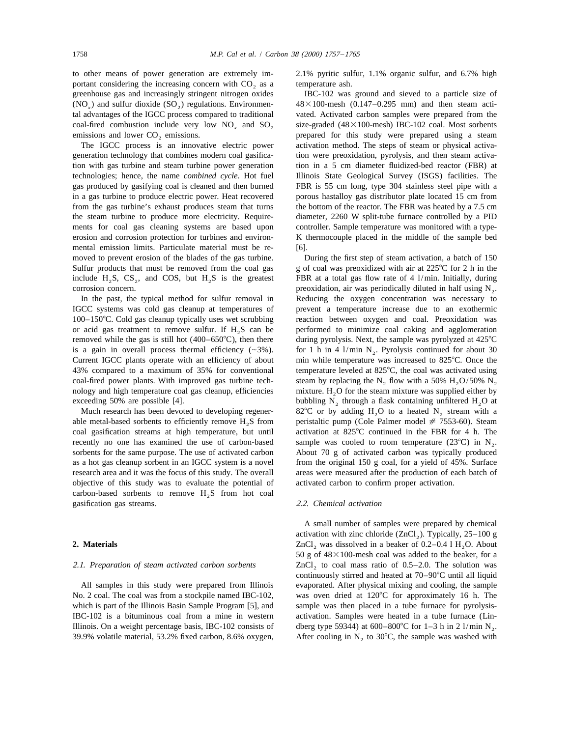to other means of power generation are extremely im- 2.1% pyritic sulfur, 1.1% organic sulfur, and 6.7% high portant considering the increasing concern with  $CO<sub>2</sub>$  as a temperature ash. greenhouse gas and increasingly stringent nitrogen oxides IBC-102 was ground and sieved to a particle size of (NO<sub>x</sub>) and sulfur dioxide (SO<sub>2</sub>) regulations. Environmen-  $48\times100$ -mesh (0.147–0.295 mm) and then steam acti- *tal* advantages of the IGCC process compared to traditional vated. Activated carbon samples were prepared f

The IGCC process is an innovative electric power generation technology that combines modern coal gasifica- tion were preoxidation, pyrolysis, and then steam activation with gas turbine and steam turbine power generation tion in a 5 cm diameter fluidized-bed reactor (FBR) at technologies; hence, the name *combined cycle*. Hot fuel Illinois State Geological Survey (ISGS) facilities. The gas produced by gasifying coal is cleaned and then burned FBR is 55 cm long, type 304 stainless steel pipe with a in a gas turbine to produce electric power. Heat recovered porous hastalloy gas distributor plate located 15 cm from from the gas turbine's exhaust produces steam that turns the bottom of the reactor. The FBR was heated by a 7.5 cm the steam turbine to produce more electricity. Require- diameter, 2260 W split-tube furnace controlled by a PID ments for coal gas cleaning systems are based upon controller. Sample temperature was monitored with a typeerosion and corrosion protection for turbines and environ- K thermocouple placed in the middle of the sample bed mental emission limits. Particulate material must be re- [6]. moved to prevent erosion of the blades of the gas turbine. During the first step of steam activation, a batch of 150 Sulfur products that must be removed from the coal gas g of coal was preoxidized with air at  $225^{\circ}$ C for 2 h in the include H<sub>2</sub>S, CS<sub>2</sub>, and COS, but H<sub>2</sub>S is the greatest FBR at a total gas flow rate of 4 l/min. Initially, during

IGCC systems was cold gas cleanup at temperatures of prevent a temperature increase due to an exothermic 100–150°C. Cold gas cleanup typically uses wet scrubbing reaction between oxygen and coal. Preoxidation was or acid gas treatment to remove sulfur. If  $H<sub>2</sub>S$  can be performed to minimize coal caking and agglomeration removed while the gas is still hot  $(400-650^{\circ}C)$ , then there during pyrolysis. Next, the sample was pyrolyzed at  $425^{\circ}C$ is a gain in overall process thermal efficiency ( $\sim 3\%$ ). for 1 h in 4 l/min N<sub>2</sub>. Pyrolysis continued for about 30 Current IGCC plants operate with an efficiency of about min while temperature was increased to 825°C. O Current IGCC plants operate with an efficiency of about 43% compared to a maximum of 35% for conventional temperature leveled at 825°C, the coal was activated using coal-fired power plants. With improved gas turbine tech-<br>nology and high temperature coal gas cleanup, efficiencies mixture. H<sub>2</sub>O for the steam mixture was supplied either by

Much research has been devoted to developing regener-<br>able metal-based sorbents to efficiently remove H,S from peristaltic pump (Cole Palmer model  $\#$  7553-60). Steam coal gasification streams at high temperature, but until recently no one has examined the use of carbon-based sample was cooled to room temperature (23°C) in N<sub>2</sub>. Sorbents for the same purpose. The use of activated carbon About 70 g of activated carbon was typically produced as a hot gas cleanup sorbent in an IGCC system is a novel from the original 150 g coal, for a yield of 45%. Surface objective of this study was to evaluate the potential of activated carbon to confirm proper activation. carbon-based sorbents to remove  $H_2S$  from hot coal gasification gas streams. 2.2. *Chemical activation*

No. 2 coal. The coal was from a stockpile named IBC-102, was oven dried at  $120^{\circ}$ C for approximately 16 h. The IBC-102 is a bituminous coal from a mine in western activation. Samples were heated in a tube furnace (Lin-Illinois. On a weight percentage basis, IBC-102 consists of dberg type 59344) at 600–800°C for 1–3 h in 2 l/min N<sub>2</sub>.<br>39.9% volatile material, 53.2% fixed carbon, 8.6% oxygen, After cooling in N<sub>2</sub> to 30°C, the sample was

vated. Activated carbon samples were prepared from the coal-fired combustion include very low  $NO_x$  and  $SO_2$  size-graded (48×100-mesh) IBC-102 coal. Most sorbents emissions and lower CO, emissions. prepared for this study were prepared using a steam activation method. The steps of steam or physical activa-

corrosion concern.<br>
In the past, the typical method for sulfur removal in Reducing the oxygen concentration was necessary to Reducing the oxygen concentration was necessary to mixture. H<sub>2</sub>O for the steam mixture was supplied either by exceeding 50% are possible [4]. bubbling N<sub>2</sub> through a flask containing unfiltered H<sub>2</sub>O at 2<sup>o</sup>C or by adding H<sub>2</sub>O to a heated N<sub>2</sub> stream with a 2<sup>o</sup>C or by adding H<sub>2</sub>O to a heated N<sub>2</sub> stream with a peristaltic pump (Cole Palmer model  $# 7553-60$ ). Steam activation at 825°C continued in the FBR for 4 h. The About 70 g of activated carbon was typically produced research area and it was the focus of this study. The overall areas were measured after the production of each batch of

A small number of samples were prepared by chemical activation with zinc chloride (ZnCl<sub>2</sub>). Typically,  $25-100$  g **2. Materials 2. Materials 2. Materials 2. Materials 2. About 2. About 2. About 2. About 2. About 2. About 2. About 2. About 2. About 2. About 2. About 2. About 2. About 2. About 2. About 2. About 2. About 2. Abou** 50 g of  $48\times100$ -mesh coal was added to the beaker, for a 2.1. *Preparation of steam activated carbon sorbents*  $ZnCl$ , to coal mass ratio of 0.5–2.0. The solution was continuously stirred and heated at  $70-90^{\circ}$ C until all liquid All samples in this study were prepared from Illinois evaporated. After physical mixing and cooling, the sample which is part of the Illinois Basin Sample Program [5], and sample was then placed in a tube furnace for pyrolysis-After cooling in  $N_2$  to 30°C, the sample was washed with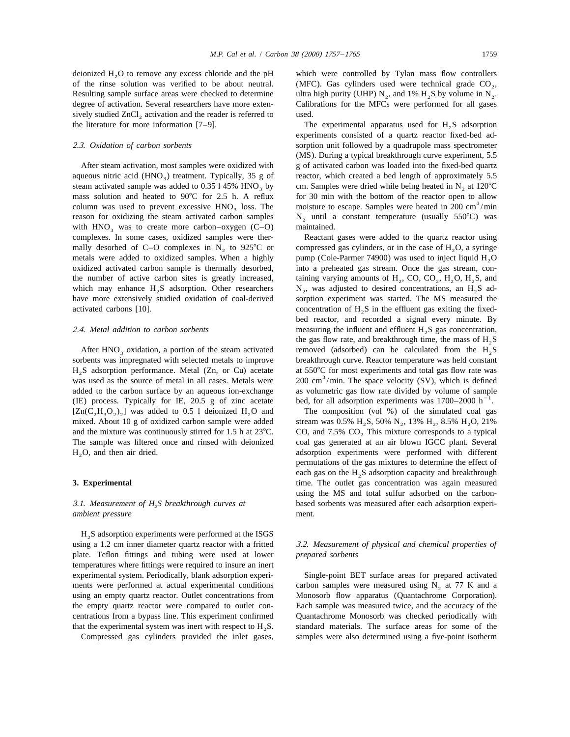degree of activation. Several researchers have more extensively studied  $ZnCl_2$  activation and the reader is referred to used.<br>the literature for more information  $[7-9]$ . Th

aqueous nitric acid (HNO<sub>3</sub>) treatment. Typically, 35 g of reactor, which created a bed length of approximately 5.5 steam activated sample was added to 0.35 l 45% HNO<sub>3</sub> by cm. Samples were dried while being heated in N<sub>2</sub> at 120 °C<br>mass solution and heated to 90 °C for 2.5 h. A reflux for 30 min with the bottom of the reactor open to column was used to prevent excessive  $HNO<sub>3</sub>$  loss. The moisture to escape. Samples were heated in 200 cm<sup>3</sup>/min reason for oxidizing the steam activated carbon samples  $N_2$  until a constant temperature (usually 550°C) was with HNO, was to create more carbon–oxygen (C–O) maintained. with  $HNO<sub>3</sub>$  was to create more carbon–oxygen  $(C-O)$  maintained.<br>3 complexes. In some cases, oxidized samples were ther-<br>3 Reactant gases were added to the quartz reactor using complexes. In some cases, oxidized samples were thermally desorbed of C–O complexes in N<sub>2</sub> to 925°C or compressed gas cylinders, or in the case of H<sub>2</sub>O, a syringe metals were added to oxidized samples. When a highly pump (Cole-Parmer 74900) was used to inject liquid H<sub>2</sub> metals were added to oxidized samples. When a highly pump (Cole-Parmer 74900) was used to inject liquid H<sub>2</sub>O oxidized activated carbon sample is thermally desorbed, into a preheated gas stream. Once the gas stream, conthe number of active carbon sites is greatly increased, taining varying amounts of  $H_2$ , CO, CO<sub>2</sub>, H<sub>2</sub>O, H<sub>2</sub>S, and which may enhance H<sub>2</sub>S adsorption. Other researchers  $N_2$ , was adjusted to desired concentrations, a which may enhance  $H_2S$  adsorption. Other researchers  $N_2$ , was adjusted to desired concentrations, an  $H_2S$  ad-<br>have more extensively studied oxidation of coal-derived sorption experiment was started. The MS measured activated carbons [10]. concentration of H<sub>2</sub>S in the effluent gas exiting the fixed-

 $H_2S$  adsorption performance. Metal (Zn, or Cu) acetate at 550°C for most experiments and total gas flow rate was used as the source of metal in all cases. Metals were 200 cm<sup>3</sup>/min. The space velocity (SV), which is def added to the carbon surface by an aqueous ion-exchange as volumetric gas flow rate divided by volume of sample (IE) process. Typically for IE, 20.5 g of zinc acetate bed, for all adsorption experiments was 1700–2000 h<sup>-1</sup>  $[Zn(C_2H_3O_2)_2]$  was added to 0.5 l deionized H<sub>2</sub>O and The composition (vol %) of the simulated coal gas mixed. About 10 g of oxidized carbon sample were added stream was 0.5% H<sub>2</sub>S, 50% N<sub>2</sub>, 13% H<sub>2</sub>, 8.5% H<sub>2</sub>O, 21% mixed. About 10 g of oxidized carbon sample were added and the mixture was continuously stirred for 1.5 h at  $23^{\circ}\text{C}$ . CO, and  $7.5\%$  CO<sub>2</sub> This mixture corresponds to a typical The sample was filtered once and rinsed with deionized coal gas generated at an air blown IGC

# *ambient pressure* ment.

 $H<sub>2</sub>S$  adsorption experiments were performed at the ISGS using a 1.2 cm inner diameter quartz reactor with a fritted 3.2. *Measurement of physical and chemical properties of* plate. Teflon fittings and tubing were used at lower *prepared sorbents* temperatures where fittings were required to insure an inert experimental system. Periodically, blank adsorption experi- Single-point BET surface areas for prepared activated ments were performed at actual experimental conditions carbon samples were measured using  $N_2$  at 77 K and a using an empty quartz reactor. Outlet concentrations from Monosorb flow apparatus (Quantachrome Corporation). using an empty quartz reactor. Outlet concentrations from the empty quartz reactor were compared to outlet con- Each sample was measured twice, and the accuracy of the centrations from a bypass line. This experiment confirmed Quantachrome Monosorb was checked periodically with

deionized  $H_2O$  to remove any excess chloride and the pH which were controlled by Tylan mass flow controllers of the rinse solution was verified to be about neutral. (MFC). Gas cylinders used were technical grade  $CO_2$ , (MFC). Gas cylinders used were technical grade  $CO<sub>2</sub>$ , Resulting sample surface areas were checked to determine ultra high purity (UHP)  $N_2$ , and 1%  $H_2S$  by volume in  $N_2$ .<br>degree of activation. Several researchers have more exten-<br>Calibrations for the MFCs were performed

The experimental apparatus used for  $H_2S$  adsorption experiments consisted of a quartz reactor fixed-bed ad-2.3. *Oxidation of carbon sorbents* sorption unit followed by a quadrupole mass spectrometer (MS). During a typical breakthrough curve experiment, 5.5 After steam activation, most samples were oxidized with g of activated carbon was loaded into the fixed-bed quartz

into a preheated gas stream. Once the gas stream, consorption experiment was started. The MS measured the bed reactor, and recorded a signal every minute. By 2.4. *Metal addition to carbon sorbents* measuring the influent and effluent H<sub>2</sub>S gas concentration, the gas flow rate, and breakthrough time, the mass of  $H_2S$ After HNO oxidation, a portion of the steam activated removed (adsorbed) can be calculated from the H S <sup>3</sup> <sup>2</sup> breakthrough curve. Reactor temperature was held constant

coal gas generated at an air blown IGCC plant. Several H<sub>2</sub>O, and then air dried. **adsorption** experiments were performed with different permutations of the gas mixtures to determine the effect of each gas on the  $H<sub>2</sub>S$  adsorption capacity and breakthrough **3. Experimental** time. The outlet gas concentration was again measured using the MS and total sulfur adsorbed on the carbon-3.1. *Measurement of H S breakthrough curves at* based sorbents was measured after each adsorption experi- <sup>2</sup>

that the experimental system was inert with respect to  $H_2S$ . standard materials. The surface areas for some of the 2011 Compressed gas cylinders provided the inlet gases, samples were also determined using a five-point samples were also determined using a five-point isotherm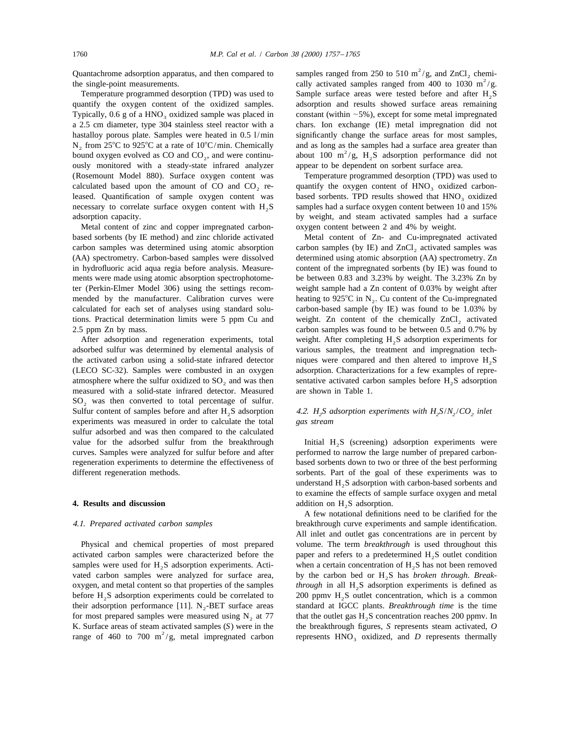Quantachrome adsorption apparatus, and then compared to samples ranged from 250 to 510 m<sup>2</sup>/g, and ZnCl<sub>2</sub> chemi-<br>the single-point measurements. cally activated samples ranged from 400 to 1030 m<sup>2</sup>/g.

Typically, 0.6 g of a HNO<sub>3</sub> oxidized sample was placed in constant (within  $\sim$  5%), except for some metal impregnated a 2.5 cm diameter, type 304 stainless steel reactor with a chars. Ion exchange (IE) metal impregnatio a 2.5 cm diameter, type 304 stainless steel reactor with a hastalloy porous plate. Samples were heated in 0.5 l/min significantly change the surface areas for most samples,  $N_2$  from 25°C to 925°C at a rate of 10°C/min. Chemically and as long as the samples had a surface area greater than<br>bound oxygen evolved as CO and CO<sub>2</sub>, and were continu-<br>ously monitored with a steady-state infrared an ously monitored with a steady-state infrared analyzer (Rosemount Model 880). Surface oxygen content was Temperature programmed desorption (TPD) was used to necessary to correlate surface oxygen content with  $H_2S$ 

based sorbents (by IE method) and zinc chloride activated Metal content of Zn- and Cu-impregnated activated carbon samples was determined using atomic absorption carbon samples (by IE) and  $ZnCl<sub>2</sub>$  activated samples was (AA) spectrometry. Carbon-based samples were dissolved determined using atomic absorption (AA) spectromet (AA) spectrometry. Carbon-based samples were dissolved in hydrofluoric acid aqua regia before analysis. Measure- content of the impregnated sorbents (by IE) was found to ments were made using atomic absorption spectrophotome- be between 0.83 and 3.23% by weight. The 3.23% Zn by ter (Perkin-Elmer Model 306) using the settings recom- weight sample had a Zn content of 0.03% by weight after mended by the manufacturer. Calibration curves were heating to  $925^{\circ}C$  in N<sub>2</sub>. Cu content of the Cu-impregnated calculated for each set of analyses using standard solu- carbon-based sample (by IE) was found to be 1.03% by tions. Practical determination limits were 5 ppm Cu and weight. Zn content of the chemically ZnCl, activated 2.5 ppm Zn by mass. carbon samples was found to be between 0.5 and 0.7% by

adsorbed sulfur was determined by elemental analysis of the activated carbon using a solid-state infrared detector inques were compared and then altered to improve  $H_2S$ <br>(LECO SC-32). Samples were combusted in an oxygen adsorption. Characterizations for a few examples of repr (LECO SC-32). Samples were combusted in an oxygen atmosphere where the sulfur oxidized to  $SO_2$  and was then sentative activated carbon samples before  $H_2S$  adsorption measured with a solid-state infrared detector. Measured are shown in Table 1. measured with a solid-state infrared detector. Measured  $SO<sub>2</sub>$  was then converted to total percentage of sulfur. Sulfur content of samples before and after H<sub>2</sub>S adsorption 4.2. *H<sub>2</sub>S adsorption experiments with H<sub>2</sub>S/<i>N<sub>2</sub>*/*CO<sub>2</sub>* inlet experiments was measured in order to calculate the total *gas stream* sulfur adsorbed and was then compared to the calculated value for the adsorbed sulfur from the breakthrough Initial  $H_2S$  (screening) adsorption experiments were curves. Samples were analyzed for sulfur before and after performed to narrow the large number of prepared carboncurves. Samples were analyzed for sulfur before and after regeneration experiments to determine the effectiveness of based sorbents down to two or three of the best performing

activated carbon samples were characterized before the paper and refers to a predetermined  $H_2S$  outlet condition vated carbon samples were analyzed for surface area, oxygen, and metal content so that properties of the samples *through* in all  $H_2S$  adsorption experiments is defined as before  $H_2S$  adsorption experiments could be correlated to 200 ppmv  $H_2S$  outlet concentration, wh their adsorption performance [11]. N<sub>2</sub>-BET surface areas for most prepared samples were measured using  $N_2$  at 77 that the outlet gas  $H_2S$  concentration reaches 200 ppmv. In <br>K. Surface areas of steam activated samples (S) were in the the breakthrough figures, S represents s range of 460 to 700 m<sup>2</sup>/g, metal impregnated carbon represents HNO<sub>3</sub> oxidized, and D represents thermally

Temperature programmed desorption (TPD) was used to Sample surface areas were tested before and after  $H_2S$  quantify the oxygen content of the oxidized samples. adsorption and results showed surface areas remaining adsorption and results showed surface areas remaining

calculated based upon the amount of CO and  $CO<sub>2</sub>$  re- quantify the oxygen content of HNO<sub>3</sub> oxidized carbon-<br>leased. Quantification of sample oxygen content was based sorbents. TPD results showed that HNO<sub>3</sub> oxidized based sorbents. TPD results showed that  $HNO<sub>3</sub>$  oxidized samples had a surface oxygen content between 10 and 15% adsorption capacity. by weight, and steam activated samples had a surface Metal content of zinc and copper impregnated carbon- oxygen content between 2 and 4% by weight.

After adsorption and regeneration experiments, total weight. After completing  $H_2S$  adsorption experiments for  $\sim$  25 solongles, the treatment and impregnation tech-

different regeneration methods. Sorbents. Part of the goal of these experiments was to understand  $H$ <sub>2</sub>S adsorption with carbon-based sorbents and to examine the effects of sample surface oxygen and metal **4. Results and discussion** addition on  $H_2S$  adsorption.

A few notational definitions need to be clarified for the 4.1. *Prepared activated carbon samples* breakthrough curve experiments and sample identification. All inlet and outlet gas concentrations are in percent by Physical and chemical properties of most prepared volume. The term *breakthrough* is used throughout this samples were used for  $H_2S$  adsorption experiments. Acti-<br>vated carbon samples were analyzed for surface area, by the carbon bed or  $H_2S$  has *broken through. Break*-200 ppmv  $H_2S$  outlet concentration, which is a common standard at IGCC plants. *Breakthrough time* is the time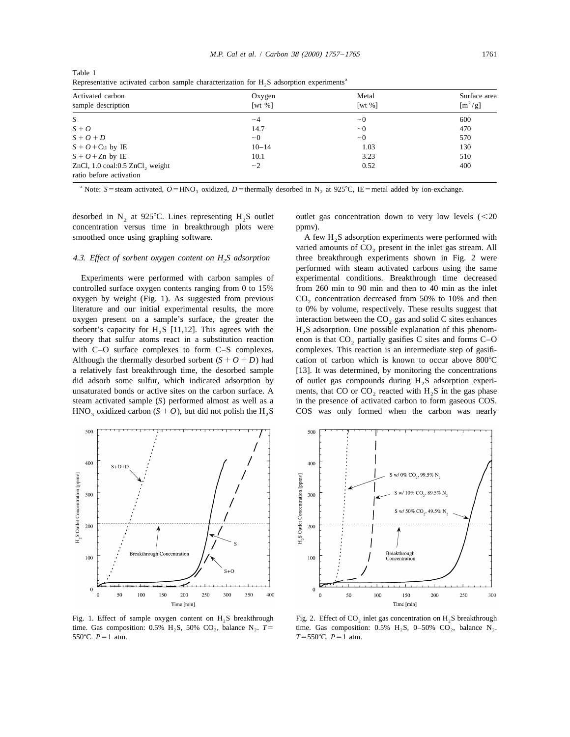| Activated carbon<br>sample description                                | Oxygen<br>$\lceil wt \ \% \rceil$ | Metal<br>$\lceil wt \, \%$ | Surface area<br>$[m^2/g]$ |
|-----------------------------------------------------------------------|-----------------------------------|----------------------------|---------------------------|
|                                                                       |                                   |                            |                           |
| $S + O$                                                               | 14.7                              | $\sim 0$                   | 470                       |
| $S+O+D$                                                               | $\sim 0$                          | $\sim 0$                   | 570                       |
| $S + O + Cu$ by IE                                                    | $10 - 14$                         | 1.03                       | 130                       |
| $S + O + Zn$ by IE                                                    | 10.1                              | 3.23                       | 510                       |
| ZnCl, $1.0 \text{ coal:} 0.5$ ZnCl, weight<br>ratio before activation | $\sim$ 2                          | 0.52                       | 400                       |

Table 1 Representative activated carbon sample characterization for  $H_2S$  adsorption experiments<sup>2</sup>

a Note: *S* = steam activated, *O* = HNO<sub>3</sub> oxidized, *D* = thermally desorbed in N<sub>2</sub> at 925°C, IE=metal added by ion-exchange.

desorbed in N<sub>2</sub> at 925°C. Lines representing H<sub>2</sub>S outlet outlet gas concentration down to very low levels (<20 concentration versus time in breakthrough plots were ppmv). smoothed once using graphing software. A few H<sub>2</sub>S adsorption experiments were performed with

controlled surface oxygen contents ranging from 0 to 15% from 260 min to 90 min and then to 40 min as the inlet oxygen by weight (Fig. 1). As suggested from previous CO, concentration decreased from 50% to 10% and then literature and our initial experimental results, the more to 0% by volume, respectively. These results suggest that oxygen present on a sample's surface, the greater the interaction between the  $CO<sub>2</sub>$  gas and solid C sites enhances theory that sulfur atoms react in a substitution reaction enon is that  $CO<sub>2</sub>$  partially gasifies C sites and forms C–O with C–O surface complexes to form C–S complexes. Complexes. This reaction is an intermediate step Although the thermally desorbed sorbent  $(S + O + D)$  had cation of carbon which is known to occur above 800°C a relatively fast breakthrough time, the desorbed sample [13]. It was determined, by monitoring the concentrations did adsorb some sulfur, which indicated adsorption by of outlet gas compounds during  $H_2S$  adsorption experi-<br>unsaturated bonds or active sites on the carbon surface. A ments, that CO or CO<sub>2</sub> reacted with  $H_2S$  in the steam activated sample (*S*) performed almost as well as a in the presence of activated carbon to form gaseous COS. HNO<sub>3</sub> oxidized carbon  $(S + O)$ , but did not polish the H<sub>2</sub>S COS was only formed when the carbon was nearly



Fig. 1. Effect of sample oxygen content on  $H_2S$  breakthrough Fig. 2. Effect of  $CO_2$  inlet gas concentration on  $H_2S$  breakthrough time. Gas composition: 0.5% H, S, 0–50% CO,, balance N,.

varied amounts of  $CO<sub>2</sub>$  present in the inlet gas stream. All 4.3. *Effect of sorbent oxygen content on H<sub>2</sub>S adsorption* three breakthrough experiments shown in Fig. 2 were performed with steam activated carbons using the same Experiments were performed with carbon samples of experimental conditions. Breakthrough time decreased sorbent's capacity for H<sub>2</sub>S [11,12]. This agrees with the H<sub>2</sub>S adsorption. One possible explanation of this phenomcomplexes. This reaction is an intermediate step of gasifiments, that CO or CO<sub>2</sub> reacted with  $H$ <sub>2</sub>S in the gas phase



time. Gas composition: 0.5% H<sub>2</sub>S, 50% CO<sub>2</sub>, balance N<sub>2</sub>.  $T =$  time. Gas composition: 0.5% H<sub>2</sub>S, 0–50% CO<sub>2</sub>, balance N<sub>2</sub>.  $T = 550^{\circ}$ C.  $P = 1$  atm.<br> $T = 550^{\circ}$ C.  $P = 1$  atm.  $T = 550^{\circ}$ C.  $P = 1$  atm.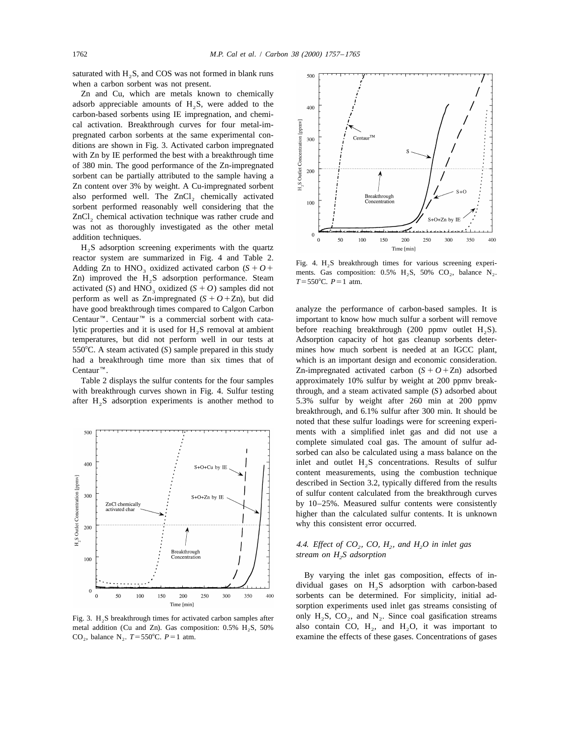saturated with  $H<sub>2</sub>S$ , and COS was not formed in blank runs when a carbon sorbent was not present.

Zn and Cu, which are metals known to chemically adsorb appreciable amounts of  $H_2S$ , were added to the carbon-based sorbents using IE impregnation, and chemical activation. Breakthrough curves for four metal-impregnated carbon sorbents at the same experimental conditions are shown in Fig. 3. Activated carbon impregnated with Zn by IE performed the best with a breakthrough time of 380 min. The good performance of the Zn-impregnated sorbent can be partially attributed to the sample having a Zn content over 3% by weight. A Cu-impregnated sorbent also performed well. The ZnCl<sub>2</sub> chemically activated sorbent performed reasonably well considering that the ZnCl, chemical activation technique was rather crude and was not as thoroughly investigated as the other metal addition techniques.

 $H<sub>2</sub>S$  adsorption screening experiments with the quartz reactor system are summarized in Fig. 4 and Table 2.<br>Adding Zn to  $HNO_3$  oxidized activated carbon  $(S + O +$ <br>Zn) improved the H<sub>2</sub>S adsorption performance. Steam<br>T=550°C. P=1 atm. activated (*S*) and HNO<sub>3</sub> oxidized (*S* + *O*) samples did not perform as well as Zn-impregnated  $(S + O + Zn)$ , but did have good breakthrough times compared to Calgon Carbon analyze the performance of carbon-based samples. It is



metal addition (Cu and Zn). Gas composition: 0.5%  $H_2S$ , 50% also contain CO,  $H_2$ , and  $H_2O$ , it was important to  $CO_2$ , balance N<sub>2</sub>.  $T = 550^{\circ}$ C.  $P = 1$  atm. examine the effects of these gases. Concentrations of g



Centaur<sup>™</sup>. Centaur<sup>™</sup> is a commercial sorbent with cata- important to know how much sulfur a sorbent will remove lytic properties and it is used for  $H_2S$  removal at ambient before reaching breakthrough (200 ppmv outlet  $H_2S$ ). temperatures, but did not perform well in our tests at Adsorption capacity of hot gas cleanup sorbents deter-5508C. A steam activated (*S*) sample prepared in this study mines how much sorbent is needed at an IGCC plant, had a breakthrough time more than six times that of which is an important design and economic consideration. Centaur<sup>™</sup>. Zn-impregnated activated carbon  $(S + O + Zn)$  adsorbed Table 2 displays the sulfur contents for the four samples approximately 10% sulfur by weight at 200 ppmy breakwith breakthrough curves shown in Fig. 4. Sulfur testing through, and a steam activated sample (*S*) adsorbed about after H<sub>2</sub>S adsorption experiments is another method to 5.3% sulfur by weight after 260 min at 200 ppmv breakthrough, and 6.1% sulfur after 300 min. It should be noted that these sulfur loadings were for screening experiments with a simplified inlet gas and did not use a complete simulated coal gas. The amount of sulfur adsorbed can also be calculated using a mass balance on the inlet and outlet  $H<sub>2</sub>S$  concentrations. Results of sulfur content measurements, using the combustion technique described in Section 3.2, typically differed from the results of sulfur content calculated from the breakthrough curves by 10–25%. Measured sulfur contents were consistently higher than the calculated sulfur contents. It is unknown why this consistent error occurred.

# 4.4. *Effect of*  $CO_2$ *,*  $CO$ *,*  $H_2$ *, and*  $H_2O$  *in inlet gas stream on H<sub>2</sub>S adsorption*

By varying the inlet gas composition, effects of individual gases on  $H_2S$  adsorption with carbon-based sorbents can be determined. For simplicity, initial adsorption experiments used inlet gas streams consisting of Fig. 3. H<sub>2</sub>S breakthrough times for activated carbon samples after only H<sub>2</sub>S, CO<sub>2</sub>, and N<sub>2</sub>. Since coal gasification streams metal addition (Cu and Zn). Gas composition: 0.5% H<sub>2</sub>S, 50% also contain CO, H<sub>2</sub>, and H<sub>2</sub> examine the effects of these gases. Concentrations of gases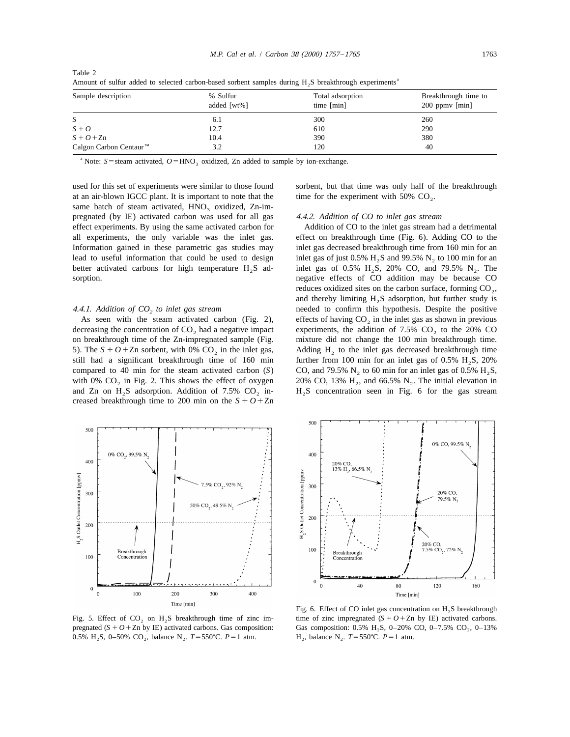| Breakthrough time to<br>$200$ ppmy ${\rm [min]}$ |
|--------------------------------------------------|
| 260                                              |
| 290                                              |
| 380                                              |
| 40                                               |
|                                                  |

Table 2 Amount of sulfur added to selected carbon-based sorbent samples during H<sub>2</sub>S breakthrough experiments<sup>a</sup>

a Note:  $S$ =steam activated,  $O$ =HNO<sub>3</sub> oxidized, Zn added to sample by ion-exchange.

at an air-blown IGCC plant. It is important to note that the time for the experiment with  $50\%$  CO. same batch of steam activated,  $HNO<sub>3</sub>$  oxidized, Zn-impregnated (by IE) activated carbon was used for all gas 4.4.2. *Addition of CO to inlet gas stream* effect experiments. By using the same activated carbon for Addition of CO to the inlet gas stream had a detrimental all experiments, the only variable was the inlet gas. effect on breakthrough time (Fig. 6). Adding CO to the Information gained in these parametric gas studies may inlet gas decreased breakthrough time from 160 min for an lead to useful information that could be used to design inlet gas of just 0.5% H<sub>2</sub>S and 99.5% N<sub>2</sub> to 100 min for an better activated carbons for high temperature H<sub>2</sub>S ad-<br>inlet gas of 0.5% H<sub>2</sub>S, 20% CO, and 79.5% N<sub>2</sub> sorption. negative effects of CO addition may be because CO

still had a significant breakthrough time of 160 min compared to 40 min for the steam activated carbon (*S*) CO, and 79.5% N<sub>2</sub> to 60 min for an inlet gas of 0.5% H<sub>2</sub>S, with 0% CO<sub>2</sub> in Fig. 2. This shows the effect of oxygen 20% CO, 13% H<sub>2</sub>, and 66.5% N<sub>2</sub>. The initial e creased breakthrough time to 200 min on the  $S + O + Zn$ 



pregnated  $(S + O + Zn$  by IE) activated carbons. Gas composition: 0.5% H<sub>2</sub>S, 0–50% CO<sub>2</sub>, balance N<sub>2</sub>.  $T = 550^{\circ}C$ .  $P = 1$  atm. H<sub>2</sub>, balance N<sub>2</sub>.  $T = 550^{\circ}C$ .  $P = 1$  atm.

used for this set of experiments were similar to those found sorbent, but that time was only half of the breakthrough

inlet gas of 0.5%  $H_2S$ , 20% CO, and 79.5% N<sub>2</sub>. The reduces oxidized sites on the carbon surface, forming  $CO<sub>2</sub>$ , and thereby limiting  $H_2S$  adsorption, but further study is 4.4.1. *Addition of CO<sub>2</sub> to inlet gas stream* needed to confirm this hypothesis. Despite the positive As seen with the steam activated carbon (Fig. 2), effects of having  $CO<sub>2</sub>$  in the inlet gas as shown in previous decreasing the concentration of  $CO_2$  had a negative impact experiments, the addition of 7.5%  $CO_2$  to the 20%  $CO$ on breakthrough time of the Zn-impregnated sample (Fig. mixture did not change the 100 min breakthrough time. 5). The  $S + O + Zn$  sorbent, with 0% CO<sub>2</sub> in the inlet gas,<br>
Suil had a significant breakthrough time of 160 min further from 100 min for an inlet gas of 0.5% H<sub>2</sub>S, 20% with 0%  $CO_2$  in Fig. 2. This shows the effect of oxygen 20% CO, 13% H<sub>2</sub>, and 66.5% N<sub>2</sub>. The initial elevation in and Zn on H<sub>2</sub>S adsorption. Addition of 7.5% CO<sub>2</sub> in H<sub>2</sub>S concentration seen in Fig. 6 for the gas stre  $H<sub>2</sub>S$  concentration seen in Fig. 6 for the gas stream



Fig. 6. Effect of CO inlet gas concentration on  $H_2S$  breakthrough Fig. 5. Effect of CO<sub>2</sub> on H<sub>2</sub>S breakthrough time of zinc im-<br>pregnated  $(S + O + Zn)$  by IE) activated carbons. Gas composition:<br>Gas composition: 0.5% H, S, 0–20% CO, 0–7.5% CO,, 0–13%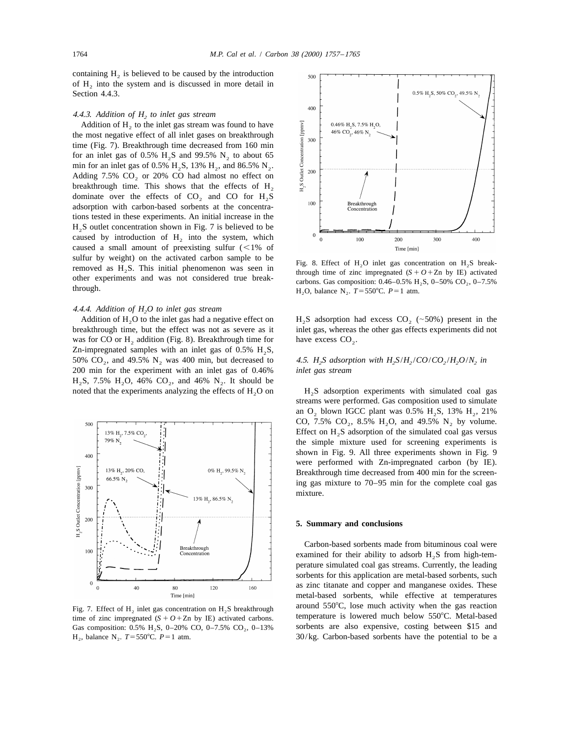containing H, is believed to be caused by the introduction of  $H<sub>2</sub>$  into the system and is discussed in more detail in Section 4.4.3.

## 4.4.3. Addition of H<sub>2</sub> to inlet gas stream

Addition of  $H<sub>2</sub>$  to the inlet gas stream was found to have the most negative effect of all inlet gases on breakthrough time (Fig. 7). Breakthrough time decreased from 160 min for an inlet gas of 0.5%  $H_2S$  and 99.5%  $N_2$  to about 65 min for an inlet gas of 0.5%  $H_2S$ , 13%  $H_2$ , and 86.5%  $N_2$ . Adding  $7.5\%$  CO<sub>2</sub> or 20% CO had almost no effect on breakthrough time. This shows that the effects of  $H<sub>2</sub>$ dominate over the effects of  $CO<sub>2</sub>$  and  $CO$  for  $H<sub>2</sub>S$ adsorption with carbon-based sorbents at the concentrations tested in these experiments. An initial increase in the  $H<sub>2</sub>S$  outlet concentration shown in Fig. 7 is believed to be caused by introduction of  $H<sub>2</sub>$  into the system, which caused a small amount of preexisting sulfur  $(<1%$  of sulfur by weight) on the activated carbon sample to be<br>removed as  $H_2S$ . This initial phenomenon was seen in<br>other experiments and was not considered true break-<br>through time of zinc impregnated  $(S + O + Zn)$  by IE) activate

# 4.4.4. Addition of H<sub>2</sub>O to inlet gas stream

was for CO or  $H_2$  addition (Fig. 8). Breakthrough time for have excess  $CO_2$ . Zn-impregnated samples with an inlet gas of  $0.5\%$  H<sub>2</sub>S, 50% CO<sub>2</sub>, and 49.5% N<sub>2</sub> was 400 min, but decreased to 4.5.  $H_2S$  adsorption with  $H_2S/H_2/CO/CO_2/H_2O/N_2$  in 200 min for the experiment with an inlet gas of 0.46% *inlet gas stream*  $H_2S$ , 7.5%  $H_2O$ , 46%  $CO_2$ , and 46%  $N_2$ . It should be noted that the experiments analyzing the effects of  $H<sub>2</sub>O$  on  $H<sub>2</sub>S$  adsorption experiments with simulated coal gas



time of zinc impregnated  $(S + O + Zn$  by IE) activated carbons. Gas composition: 0.5% H<sub>2</sub>S, 0–20% CO, 0–7.5% CO<sub>2</sub>, 0–13% sorbents are also expensive, costing between \$15 and H<sub>2</sub>, balance N<sub>2</sub>.  $T = 550^{\circ}$ C.  $P = 1$  atm.  $30/kg$ . Carbon-based sorbents have the potential to be a



Addition of H<sub>2</sub>O to the inlet gas had a negative effect on H<sub>2</sub>S adsorption had excess CO<sub>2</sub> ( $\sim$ 50%) present in the breakthrough time, but the effect was not as severe as it inlet gas, whereas the other gas effects experiments did not

streams were performed. Gas composition used to simulate an O<sub>2</sub> blown IGCC plant was 0.5% H<sub>2</sub>S, 13% H<sub>2</sub>, 21% CO, 7.5% CO<sub>2</sub>, 8.5% H<sub>2</sub>O, and 49.5% N<sub>2</sub> by volume. Effect on  $H_2S$  adsorption of the simulated coal gas versus the simple mixture used for screening experiments is shown in Fig. 9. All three experiments shown in Fig. 9 were performed with Zn-impregnated carbon (by IE). Breakthrough time decreased from 400 min for the screening gas mixture to 70–95 min for the complete coal gas mixture.

# **5. Summary and conclusions**

Carbon-based sorbents made from bituminous coal were examined for their ability to adsorb  $H_2S$  from high-temperature simulated coal gas streams. Currently, the leading sorbents for this application are metal-based sorbents, such as zinc titanate and copper and manganese oxides. These metal-based sorbents, while effective at temperatures Fig. 7. Effect of H<sub>2</sub> inlet gas concentration on H<sub>2</sub>S breakthrough around 550°C, lose much activity when the gas reaction time of zinc impregnated  $(S + Q + Z)$  by IF) activated carbons temperature is lowered much below 550°  $30/kg$ . Carbon-based sorbents have the potential to be a